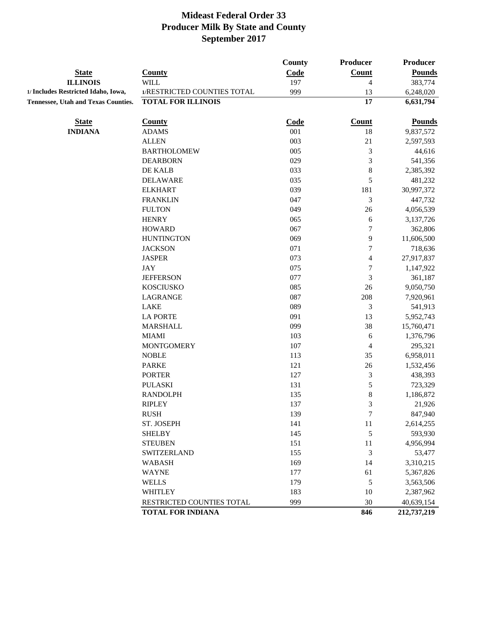|                                            |                                   | <b>County</b> | <b>Producer</b>  | <b>Producer</b>     |
|--------------------------------------------|-----------------------------------|---------------|------------------|---------------------|
| <b>State</b>                               | <b>County</b>                     | Code          | <b>Count</b>     | <b>Pounds</b>       |
| <b>ILLINOIS</b>                            | <b>WILL</b>                       | 197           | 4                | 383,774             |
| 1/ Includes Restricted Idaho, Iowa,        | 1/RESTRICTED COUNTIES TOTAL       | 999           | 13               | 6,248,020           |
| <b>Tennessee, Utah and Texas Counties.</b> | <b>TOTAL FOR ILLINOIS</b>         |               | 17               | 6,631,794           |
| <b>State</b>                               | <b>County</b>                     | Code          | <b>Count</b>     | <b>Pounds</b>       |
| <b>INDIANA</b>                             | <b>ADAMS</b>                      | 001           | 18               | 9,837,572           |
|                                            | <b>ALLEN</b>                      | 003           | $21\,$           | 2,597,593           |
|                                            | <b>BARTHOLOMEW</b>                | 005           | 3                | 44,616              |
|                                            | <b>DEARBORN</b>                   | 029           | 3                | 541,356             |
|                                            | DE KALB                           | 033           | $\,8$            | 2,385,392           |
|                                            | <b>DELAWARE</b>                   | 035           | 5                | 481,232             |
|                                            | <b>ELKHART</b>                    | 039           | 181              | 30,997,372          |
|                                            | <b>FRANKLIN</b>                   | 047           | 3                | 447,732             |
|                                            | <b>FULTON</b>                     | 049           | 26               | 4,056,539           |
|                                            | <b>HENRY</b>                      | 065           | 6                | 3,137,726           |
|                                            | <b>HOWARD</b>                     | 067           | 7                | 362,806             |
|                                            | <b>HUNTINGTON</b>                 | 069           | 9                | 11,606,500          |
|                                            | <b>JACKSON</b>                    | 071           | $\boldsymbol{7}$ | 718,636             |
|                                            | <b>JASPER</b>                     | 073           | 4                | 27,917,837          |
|                                            | <b>JAY</b>                        | 075           | $\boldsymbol{7}$ | 1,147,922           |
|                                            | <b>JEFFERSON</b>                  | 077           | 3                | 361,187             |
|                                            | <b>KOSCIUSKO</b>                  | 085           | 26               | 9,050,750           |
|                                            | LAGRANGE                          | 087           | 208              | 7,920,961           |
|                                            | <b>LAKE</b>                       | 089           | 3                | 541,913             |
|                                            | <b>LA PORTE</b>                   | 091           | 13               | 5,952,743           |
|                                            | <b>MARSHALL</b>                   | 099           | 38               | 15,760,471          |
|                                            | <b>MIAMI</b>                      | 103           | 6                | 1,376,796           |
|                                            | <b>MONTGOMERY</b>                 | 107           | 4                | 295,321             |
|                                            | <b>NOBLE</b>                      | 113           | 35               | 6,958,011           |
|                                            | <b>PARKE</b>                      | 121           | 26               | 1,532,456           |
|                                            | <b>PORTER</b>                     | 127           | $\mathfrak{Z}$   | 438,393             |
|                                            | <b>PULASKI</b><br><b>RANDOLPH</b> | 131           | 5                | 723,329             |
|                                            | <b>RIPLEY</b>                     | 135<br>137    | 8<br>3           | 1,186,872<br>21,926 |
|                                            | <b>RUSH</b>                       | 139           | 7                | 847,940             |
|                                            | ST. JOSEPH                        | 141           | $11\,$           | 2,614,255           |
|                                            | <b>SHELBY</b>                     | 145           | 5                | 593,930             |
|                                            | <b>STEUBEN</b>                    | 151           | 11               | 4,956,994           |
|                                            | <b>SWITZERLAND</b>                | 155           | $\mathfrak{Z}$   | 53,477              |
|                                            | <b>WABASH</b>                     | 169           | 14               | 3,310,215           |
|                                            | <b>WAYNE</b>                      | 177           | 61               | 5,367,826           |
|                                            | <b>WELLS</b>                      | 179           | $\sqrt{5}$       | 3,563,506           |
|                                            | <b>WHITLEY</b>                    | 183           | 10               | 2,387,962           |
|                                            | RESTRICTED COUNTIES TOTAL         | 999           | $30\,$           | 40,639,154          |
|                                            |                                   |               | 846              | 212,737,219         |
|                                            | <b>TOTAL FOR INDIANA</b>          |               |                  |                     |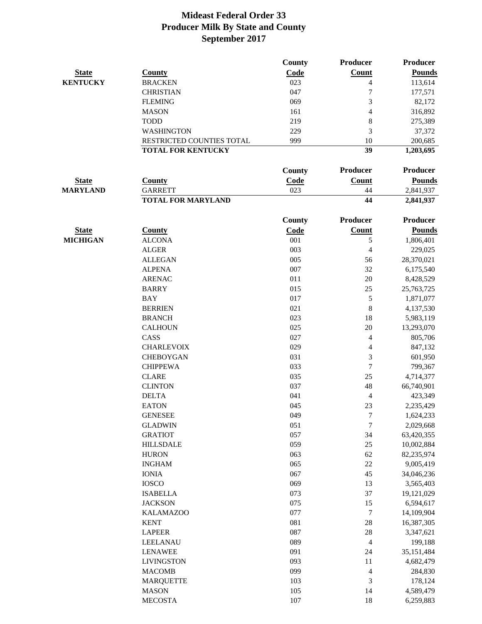|                 |                           | County      | Producer                 | <b>Producer</b> |
|-----------------|---------------------------|-------------|--------------------------|-----------------|
| <b>State</b>    | <b>County</b>             | Code        | Count                    | <b>Pounds</b>   |
| <b>KENTUCKY</b> | <b>BRACKEN</b>            | 023         | 4                        | 113,614         |
|                 | <b>CHRISTIAN</b>          | 047         | 7                        | 177,571         |
|                 | <b>FLEMING</b>            | 069         | 3                        | 82,172          |
|                 | <b>MASON</b>              | 161         | 4                        | 316,892         |
|                 | <b>TODD</b>               | 219         | 8                        | 275,389         |
|                 | <b>WASHINGTON</b>         | 229         | 3                        | 37,372          |
|                 | RESTRICTED COUNTIES TOTAL | 999         | 10                       | 200,685         |
|                 | <b>TOTAL FOR KENTUCKY</b> |             | 39                       | 1,203,695       |
|                 |                           | County      | Producer                 | Producer        |
| <b>State</b>    | <b>County</b>             | <b>Code</b> | <b>Count</b>             | <b>Pounds</b>   |
| <b>MARYLAND</b> | <b>GARRETT</b>            | 023         | 44                       | 2,841,937       |
|                 | <b>TOTAL FOR MARYLAND</b> |             | 44                       | 2,841,937       |
|                 |                           |             |                          | <b>Producer</b> |
|                 |                           | County      | Producer                 |                 |
| <b>State</b>    | <b>County</b>             | Code        | <b>Count</b>             | <b>Pounds</b>   |
| <b>MICHIGAN</b> | <b>ALCONA</b>             | 001         | 5                        | 1,806,401       |
|                 | <b>ALGER</b>              | 003         | $\overline{4}$           | 229,025         |
|                 | <b>ALLEGAN</b>            | 005         | 56                       | 28,370,021      |
|                 | <b>ALPENA</b>             | 007         | 32                       | 6,175,540       |
|                 | <b>ARENAC</b>             | 011         | 20                       | 8,428,529       |
|                 | <b>BARRY</b>              | 015         | 25                       | 25,763,725      |
|                 | <b>BAY</b>                | 017         | 5                        | 1,871,077       |
|                 | <b>BERRIEN</b>            | 021         | $\,$ 8 $\,$              | 4,137,530       |
|                 | <b>BRANCH</b>             | 023         | 18                       | 5,983,119       |
|                 | <b>CALHOUN</b>            | 025         | $20\,$                   | 13,293,070      |
|                 | CASS                      | 027         | 4                        | 805,706         |
|                 | <b>CHARLEVOIX</b>         | 029         | 4                        | 847,132         |
|                 | <b>CHEBOYGAN</b>          | 031         | 3                        | 601,950         |
|                 | <b>CHIPPEWA</b>           | 033         | $\overline{7}$           | 799,367         |
|                 | <b>CLARE</b>              | 035         | 25                       | 4,714,377       |
|                 | <b>CLINTON</b>            | 037         | 48                       | 66,740,901      |
|                 | <b>DELTA</b>              | 041         | $\overline{4}$           | 423,349         |
|                 | <b>EATON</b>              | 045         | 23                       | 2,235,429       |
|                 | <b>GENESEE</b>            | 049         | $\overline{7}$           | 1,624,233       |
|                 | <b>GLADWIN</b>            | 051         | $\overline{7}$           | 2,029,668       |
|                 | <b>GRATIOT</b>            | 057         | 34                       | 63,420,355      |
|                 | <b>HILLSDALE</b>          | 059         | 25                       | 10,002,884      |
|                 | <b>HURON</b>              | 063         | 62                       | 82,235,974      |
|                 | <b>INGHAM</b>             | 065         | $22\,$                   | 9,005,419       |
|                 | <b>IONIA</b>              | 067         | 45                       | 34,046,236      |
|                 | <b>IOSCO</b>              | 069         | 13                       | 3,565,403       |
|                 | <b>ISABELLA</b>           | 073         | 37                       | 19,121,029      |
|                 | <b>JACKSON</b>            | 075         | 15                       | 6,594,617       |
|                 | <b>KALAMAZOO</b>          | 077         | $\boldsymbol{7}$         | 14,109,904      |
|                 | <b>KENT</b>               | 081         | 28                       | 16,387,305      |
|                 | <b>LAPEER</b>             | 087         | 28                       | 3,347,621       |
|                 | <b>LEELANAU</b>           | 089         | $\overline{\mathcal{L}}$ | 199,188         |
|                 | <b>LENAWEE</b>            | 091         | 24                       | 35,151,484      |
|                 | <b>LIVINGSTON</b>         | 093         | 11                       | 4,682,479       |
|                 | <b>MACOMB</b>             | 099         | $\overline{\mathcal{L}}$ | 284,830         |
|                 | <b>MARQUETTE</b>          | 103         | 3                        | 178,124         |
|                 | <b>MASON</b>              | 105         | 14                       | 4,589,479       |
|                 | <b>MECOSTA</b>            | $107\,$     | 18                       | 6,259,883       |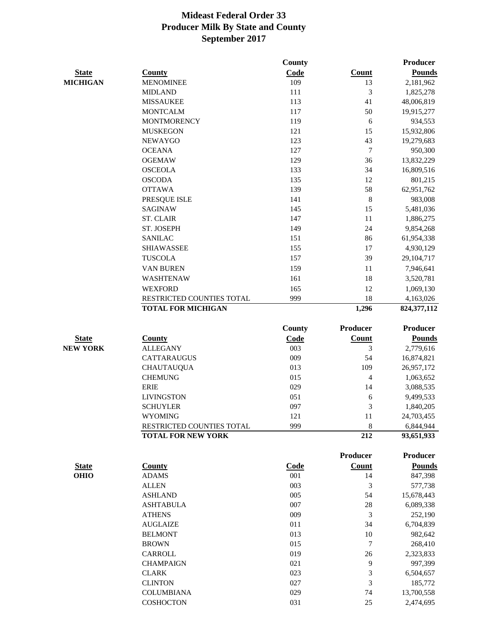|                 |                           | County        |                 | <b>Producer</b> |
|-----------------|---------------------------|---------------|-----------------|-----------------|
| <b>State</b>    | <b>County</b>             | Code          | <b>Count</b>    | <b>Pounds</b>   |
| <b>MICHIGAN</b> | <b>MENOMINEE</b>          | 109           | 13              | 2,181,962       |
|                 | <b>MIDLAND</b>            | 111           | 3               | 1,825,278       |
|                 | <b>MISSAUKEE</b>          | 113           | 41              | 48,006,819      |
|                 | <b>MONTCALM</b>           | 117           | 50              | 19,915,277      |
|                 | <b>MONTMORENCY</b>        | 119           | 6               | 934,553         |
|                 | <b>MUSKEGON</b>           | 121           | 15              | 15,932,806      |
|                 | <b>NEWAYGO</b>            | 123           | 43              | 19,279,683      |
|                 | <b>OCEANA</b>             | 127           | $\overline{7}$  | 950,300         |
|                 | <b>OGEMAW</b>             | 129           | 36              | 13,832,229      |
|                 | <b>OSCEOLA</b>            | 133           | 34              | 16,809,516      |
|                 | <b>OSCODA</b>             | 135           | 12              | 801,215         |
|                 | <b>OTTAWA</b>             | 139           | 58              | 62,951,762      |
|                 | PRESQUE ISLE              | 141           | $\,8\,$         | 983,008         |
|                 | <b>SAGINAW</b>            | 145           | 15              | 5,481,036       |
|                 | <b>ST. CLAIR</b>          | 147           | $11\,$          | 1,886,275       |
|                 | ST. JOSEPH                | 149           | 24              | 9,854,268       |
|                 | <b>SANILAC</b>            | 151           | 86              | 61,954,338      |
|                 | <b>SHIAWASSEE</b>         | 155           | 17              | 4,930,129       |
|                 | <b>TUSCOLA</b>            | 157           | 39              | 29,104,717      |
|                 | VAN BUREN                 | 159           | 11              | 7,946,641       |
|                 | <b>WASHTENAW</b>          | 161           | 18              | 3,520,781       |
|                 | <b>WEXFORD</b>            | 165           | 12              | 1,069,130       |
|                 | RESTRICTED COUNTIES TOTAL | 999           | 18              | 4,163,026       |
|                 | <b>TOTAL FOR MICHIGAN</b> |               | 1,296           | 824,377,112     |
|                 |                           | <b>County</b> | Producer        | <b>Producer</b> |
| <b>State</b>    | <b>County</b>             | Code          | Count           | <b>Pounds</b>   |
| <b>NEW YORK</b> | <b>ALLEGANY</b>           | 003           | 3               | 2,779,616       |
|                 | <b>CATTARAUGUS</b>        | 009           | 54              | 16,874,821      |
|                 | <b>CHAUTAUQUA</b>         | 013           | 109             | 26,957,172      |
|                 | <b>CHEMUNG</b>            | 015           | $\overline{4}$  | 1,063,652       |
|                 | <b>ERIE</b>               | 029           | 14              | 3,088,535       |
|                 | <b>LIVINGSTON</b>         | 051           | 6               | 9,499,533       |
|                 | <b>SCHUYLER</b>           | 097           | 3               | 1,840,205       |
|                 | <b>WYOMING</b>            | 121           | 11              | 24,703,455      |
|                 | RESTRICTED COUNTIES TOTAL | 999           | 8               | 6,844,944       |
|                 | <b>TOTAL FOR NEW YORK</b> |               | 212             | 93,651,933      |
|                 |                           |               |                 |                 |
|                 |                           |               | <b>Producer</b> | Producer        |
| <b>State</b>    | <b>County</b>             | Code          | Count           | <b>Pounds</b>   |
| <b>OHIO</b>     | <b>ADAMS</b>              | 001           | 14              | 847,398         |
|                 | <b>ALLEN</b>              | 003           | 3               | 577,738         |
|                 | <b>ASHLAND</b>            | 005           | 54              | 15,678,443      |
|                 | <b>ASHTABULA</b>          | 007           | $28\,$          | 6,089,338       |
|                 | <b>ATHENS</b>             | 009           | 3               | 252,190         |
|                 | <b>AUGLAIZE</b>           | 011           | 34              | 6,704,839       |
|                 | <b>BELMONT</b>            | 013           | 10              | 982,642         |
|                 | <b>BROWN</b>              | 015           | 7               | 268,410         |
|                 | CARROLL                   | 019           | 26              | 2,323,833       |
|                 | <b>CHAMPAIGN</b>          | 021           | 9               | 997,399         |
|                 | <b>CLARK</b>              | 023           | 3               | 6,504,657       |
|                 | <b>CLINTON</b>            | 027           | 3               | 185,772         |
|                 | <b>COLUMBIANA</b>         | 029           | 74              | 13,700,558      |
|                 | <b>COSHOCTON</b>          | 031           | 25              | 2,474,695       |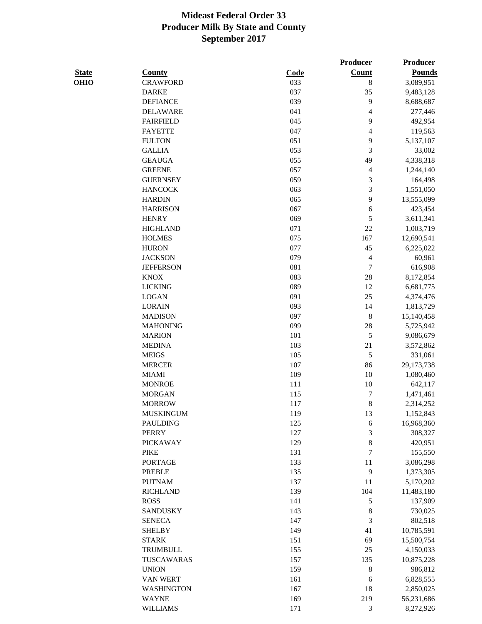|              |                   |             | Producer                    | <b>Producer</b> |
|--------------|-------------------|-------------|-----------------------------|-----------------|
| <b>State</b> | <b>County</b>     | <b>Code</b> | <b>Count</b>                | <b>Pounds</b>   |
| <b>OHIO</b>  | <b>CRAWFORD</b>   | 033         | $\,8\,$                     | 3,089,951       |
|              | <b>DARKE</b>      | 037         | 35                          | 9,483,128       |
|              | <b>DEFIANCE</b>   | 039         | 9                           | 8,688,687       |
|              | <b>DELAWARE</b>   | 041         | $\overline{4}$              | 277,446         |
|              | <b>FAIRFIELD</b>  | 045         | 9                           | 492,954         |
|              | <b>FAYETTE</b>    | 047         | $\overline{4}$              | 119,563         |
|              | <b>FULTON</b>     | 051         | 9                           | 5,137,107       |
|              | <b>GALLIA</b>     | 053         | 3                           | 33,002          |
|              | <b>GEAUGA</b>     | 055         | 49                          | 4,338,318       |
|              | <b>GREENE</b>     | 057         | $\overline{\mathcal{A}}$    | 1,244,140       |
|              | <b>GUERNSEY</b>   | 059         | 3                           | 164,498         |
|              | <b>HANCOCK</b>    | 063         | 3                           | 1,551,050       |
|              | <b>HARDIN</b>     | 065         | 9                           | 13,555,099      |
|              | <b>HARRISON</b>   | 067         | 6                           | 423,454         |
|              | <b>HENRY</b>      | 069         | 5                           | 3,611,341       |
|              | <b>HIGHLAND</b>   | 071         | 22                          | 1,003,719       |
|              | <b>HOLMES</b>     | 075         | 167                         | 12,690,541      |
|              | <b>HURON</b>      | 077         | 45                          | 6,225,022       |
|              | <b>JACKSON</b>    | 079         | $\overline{4}$              | 60,961          |
|              | <b>JEFFERSON</b>  | 081         | $\boldsymbol{7}$            | 616,908         |
|              | <b>KNOX</b>       | 083         | 28                          | 8,172,854       |
|              | <b>LICKING</b>    | 089         | 12                          | 6,681,775       |
|              | <b>LOGAN</b>      | 091         | 25                          | 4,374,476       |
|              | <b>LORAIN</b>     | 093         | 14                          | 1,813,729       |
|              | <b>MADISON</b>    | 097         | $\,8\,$                     | 15,140,458      |
|              | <b>MAHONING</b>   | 099         | 28                          | 5,725,942       |
|              | <b>MARION</b>     | 101         | $\mathfrak s$               | 9,086,679       |
|              | <b>MEDINA</b>     | 103         | 21                          | 3,572,862       |
|              | <b>MEIGS</b>      | 105         | $\mathfrak s$               | 331,061         |
|              | <b>MERCER</b>     | 107         | 86                          | 29,173,738      |
|              | <b>MIAMI</b>      | 109         | 10                          | 1,080,460       |
|              | <b>MONROE</b>     | 111         | 10                          | 642,117         |
|              | <b>MORGAN</b>     | 115         | 7                           | 1,471,461       |
|              | <b>MORROW</b>     | 117         | $\,$ 8 $\,$                 | 2,314,252       |
|              | <b>MUSKINGUM</b>  | 119         | 13                          | 1,152,843       |
|              | <b>PAULDING</b>   | 125         | 6                           | 16,968,360      |
|              | <b>PERRY</b>      | 127         | $\ensuremath{\mathfrak{Z}}$ | 308,327         |
|              | <b>PICKAWAY</b>   | 129         | $\,8\,$                     | 420,951         |
|              | <b>PIKE</b>       | 131         | $\tau$                      | 155,550         |
|              | <b>PORTAGE</b>    | 133         | 11                          | 3,086,298       |
|              | <b>PREBLE</b>     | 135         | 9                           | 1,373,305       |
|              | <b>PUTNAM</b>     | 137         | 11                          | 5,170,202       |
|              | <b>RICHLAND</b>   | 139         | 104                         | 11,483,180      |
|              | <b>ROSS</b>       | 141         | $\mathfrak s$               | 137,909         |
|              | <b>SANDUSKY</b>   | 143         | $\,$ 8 $\,$                 | 730,025         |
|              | <b>SENECA</b>     | 147         | 3                           | 802,518         |
|              | <b>SHELBY</b>     | 149         | 41                          | 10,785,591      |
|              | <b>STARK</b>      | 151         | 69                          | 15,500,754      |
|              | <b>TRUMBULL</b>   | 155         | 25                          | 4,150,033       |
|              | TUSCAWARAS        | 157         | 135                         | 10,875,228      |
|              | <b>UNION</b>      | 159         | $\,8\,$                     | 986,812         |
|              | VAN WERT          | 161         | 6                           | 6,828,555       |
|              | <b>WASHINGTON</b> | 167         | 18                          | 2,850,025       |
|              | <b>WAYNE</b>      | 169         | 219                         | 56,231,686      |
|              | <b>WILLIAMS</b>   | 171         | $\mathfrak{Z}$              | 8,272,926       |